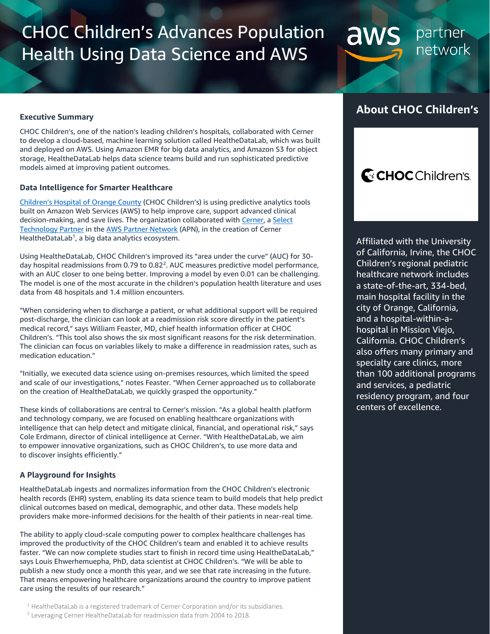# CHOC Children's Advances Population Health Using Data Science and AWS

partner network

### **Executive Summary**

CHOC Children's, one of the nation's leading children's hospitals, collaborated with Cerner to develop a cloud-based, machine learning solution called HealtheDataLab, which was built and deployed on AWS. Using Amazon EMR for big data analytics, and Amazon S3 for object storage, HealtheDataLab helps data science teams build and run sophisticated predictive models aimed at improving patient outcomes.

### **Data Intelligence for Smarter Healthcare**

[Children's Hospital of Orang](https://www.choc.org/)e County (CHOC Children's) is using predictive analytics tools built on Amazon Web Services (AWS) to help improve care, support advanced clinical decision-making, and save lives. The organization collaborated wit[h Cerner,](https://www.cerner.com/) a Select [Technology Partner](https://aws.amazon.com/partners/find/partnerdetails/?n=Cerner%20Corporation&id=001E000001OJo0rIAD) in the [AWS Partner Network](https://aws.amazon.com/partners/) (APN), in the creation of Cerner HealtheDataLab<sup>1</sup>, a big data analytics ecosystem.

Using HealtheDataLab, CHOC Children's improved its "area under the curve" (AUC) for 30 day hospital readmissions from 0.79 to 0.82<sup>2</sup>. AUC measures predictive model performance, with an AUC closer to one being better. Improving a model by even 0.01 can be challenging. The model is one of the most accurate in the children's population health literature and uses data from 48 hospitals and 1.4 million encounters.

"When considering when to discharge a patient, or what additional support will be required post-discharge, the clinician can look at a readmission risk score directly in the patient's medical record," says William Feaster, MD, chief health information officer at CHOC Children's. "This tool also shows the six most significant reasons for the risk determination. The clinician can focus on variables likely to make a difference in readmission rates, such as medication education."

"Initially, we executed data science using on-premises resources, which limited the speed and scale of our investigations," notes Feaster. "When Cerner approached us to collaborate on the creation of HealtheDataLab, we quickly grasped the opportunity."

These kinds of collaborations are central to Cerner's mission. "As a global health platform and technology company, we are focused on enabling healthcare organizations with intelligence that can help detect and mitigate clinical, financial, and operational risk," says Cole Erdmann, director of clinical intelligence at Cerner. "With HealtheDataLab, we aim to empower innovative organizations, such as CHOC Children's, to use more data and to discover insights efficiently."

### **A Playground for Insights**

HealtheDataLab ingests and normalizes information from the CHOC Children's electronic health records (EHR) system, enabling its data science team to build models that help predict clinical outcomes based on medical, demographic, and other data. These models help providers make more-informed decisions for the health of their patients in near-real time.

The ability to apply cloud-scale computing power to complex healthcare challenges has improved the productivity of the CHOC Children's team and enabled it to achieve results faster. "We can now complete studies start to finish in record time using HealtheDataLab," says Louis Ehwerhemuepha, PhD, data scientist at CHOC Children's. "We will be able to publish a new study once a month this year, and we see that rate increasing in the future. That means empowering healthcare organizations around the country to improve patient care using the results of our research."

<sup>1</sup> HealtheDataLab is a registered trademark of Cerner Corporation and/or its subsidiaries.

### **About CHOC Children's**

aws

## C: CHOC Children's.

Affiliated with the University of California, Irvine, the CHOC Children's regional pediatric healthcare network includes a state-of-the-art, 334-bed, main hospital facility in the city of Orange, California, and a hospital-within-ahospital in Mission Viejo, California. CHOC Children's also offers many primary and specialty care clinics, more than 100 additional programs and services, a pediatric residency program, and four centers of excellence.

<sup>&</sup>lt;sup>2</sup> Leveraging Cerner HealtheDataLab for readmission data from 2004 to 2018.